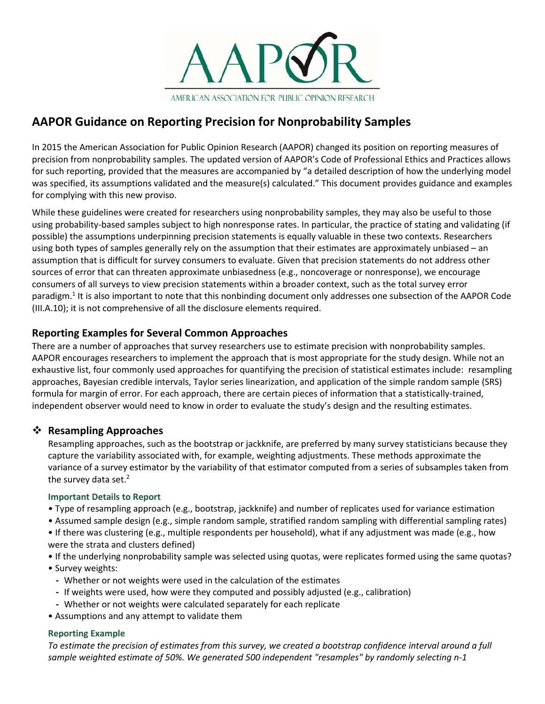

# **AAPOR Guidance on Reporting Precision for Nonprobability Samples**

In 2015 the American Association for Public Opinion Research (AAPOR) changed its position on reporting measures of precision from nonprobability samples. The updated version of AAPOR's Code of Professional Ethics and Practices allows for such reporting, provided that the measures are accompanied by "a detailed description of how the underlying model was specified, its assumptions validated and the measure(s) calculated." This document provides guidance and examples for complying with this new proviso.

While these guidelines were created for researchers using nonprobability samples, they may also be useful to those using probability-based samples subject to high nonresponse rates. In particular, the practice of stating and validating (if possible) the assumptions underpinning precision statements is equally valuable in these two contexts. Researchers using both types of samples generally rely on the assumption that their estimates are approximately unbiased – an assumption that is difficult for survey consumers to evaluate. Given that precision statements do not address other sources of error that can threaten approximate unbiasedness (e.g., noncoverage or nonresponse), we encourage consumers of all surveys to view precision statements within a broader context, such as the total survey error paradigm.<sup>1</sup> It is also important to note that this nonbinding document only addresses one subsection of the AAPOR Code (III.A.10); it is not comprehensive of all the disclosure elements required.

## **Reporting Examples for Several Common Approaches**

There are a number of approaches that survey researchers use to estimate precision with nonprobability samples. AAPOR encourages researchers to implement the approach that is most appropriate for the study design. While not an exhaustive list, four commonly used approaches for quantifying the precision of statistical estimates include: resampling approaches, Bayesian credible intervals, Taylor series linearization, and application of the simple random sample (SRS) formula for margin of error. For each approach, there are certain pieces of information that a statistically-trained, independent observer would need to know in order to evaluate the study's design and the resulting estimates.

## **❖ Resampling Approaches**

Resampling approaches, such as the bootstrap or jackknife, are preferred by many survey statisticians because they capture the variability associated with, for example, weighting adjustments. These methods approximate the variance of a survey estimator by the variability of that estimator computed from a series of subsamples taken from the survey data set. 2

### **Important Details to Report**

- Type of resampling approach (e.g., bootstrap, jackknife) and number of replicates used for variance estimation
- Assumed sample design (e.g., simple random sample, stratified random sampling with differential sampling rates)
- If there was clustering (e.g., multiple respondents per household), what if any adjustment was made (e.g., how were the strata and clusters defined)
- If the underlying nonprobability sample was selected using quotas, were replicates formed using the same quotas? • Survey weights:
	- Whether or not weights were used in the calculation of the estimates
	- If weights were used, how were they computed and possibly adjusted (e.g., calibration)
	- Whether or not weights were calculated separately for each replicate
- Assumptions and any attempt to validate them

### **Reporting Example**

*To estimate the precision of estimates from this survey, we created a bootstrap confidence interval around a full sample weighted estimate of 50%. We generated 500 independent "resamples" by randomly selecting n-1*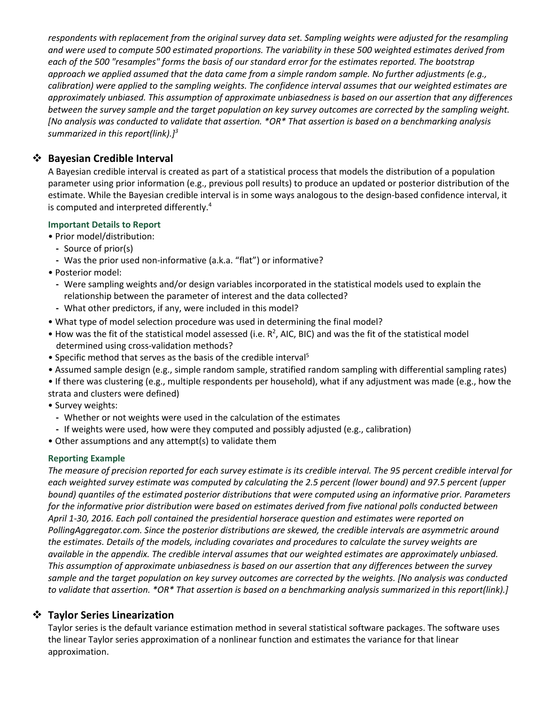*respondents with replacement from the original survey data set. Sampling weights were adjusted for the resampling and were used to compute 500 estimated proportions. The variability in these 500 weighted estimates derived from each of the 500 "resamples" forms the basis of our standard error for the estimates reported. The bootstrap approach we applied assumed that the data came from a simple random sample. No further adjustments (e.g., calibration) were applied to the sampling weights. The confidence interval assumes that our weighted estimates are approximately unbiased. This assumption of approximate unbiasedness is based on our assertion that any differences between the survey sample and the target population on key survey outcomes are corrected by the sampling weight. [No analysis was conducted to validate that assertion. \*OR\* That assertion is based on a benchmarking analysis summarized in this report(link).]3* 

## **Bayesian Credible Interval**

A Bayesian credible interval is created as part of a statistical process that models the distribution of a population parameter using prior information (e.g., previous poll results) to produce an updated or posterior distribution of the estimate. While the Bayesian credible interval is in some ways analogous to the design-based confidence interval, it is computed and interpreted differently.4

### **Important Details to Report**

- Prior model/distribution:
	- Source of prior(s)
	- Was the prior used non-informative (a.k.a. "flat") or informative?
- Posterior model:
	- Were sampling weights and/or design variables incorporated in the statistical models used to explain the relationship between the parameter of interest and the data collected?
	- What other predictors, if any, were included in this model?
- What type of model selection procedure was used in determining the final model?
- $\bullet$  How was the fit of the statistical model assessed (i.e. R<sup>2</sup>, AIC, BIC) and was the fit of the statistical model determined using cross-validation methods?
- Specific method that serves as the basis of the credible interval<sup>5</sup>
- Assumed sample design (e.g., simple random sample, stratified random sampling with differential sampling rates)
- If there was clustering (e.g., multiple respondents per household), what if any adjustment was made (e.g., how the strata and clusters were defined)
- Survey weights:
	- Whether or not weights were used in the calculation of the estimates
	- If weights were used, how were they computed and possibly adjusted (e.g., calibration)
- Other assumptions and any attempt(s) to validate them

### **Reporting Example**

*The measure of precision reported for each survey estimate is its credible interval. The 95 percent credible interval for each weighted survey estimate was computed by calculating the 2.5 percent (lower bound) and 97.5 percent (upper bound) quantiles of the estimated posterior distributions that were computed using an informative prior. Parameters for the informative prior distribution were based on estimates derived from five national polls conducted between April 1-30, 2016. Each poll contained the presidential horserace question and estimates were reported on PollingAggregator.com. Since the posterior distributions are skewed, the credible intervals are asymmetric around the estimates. Details of the models, including covariates and procedures to calculate the survey weights are available in the appendix. The credible interval assumes that our weighted estimates are approximately unbiased. This assumption of approximate unbiasedness is based on our assertion that any differences between the survey sample and the target population on key survey outcomes are corrected by the weights. [No analysis was conducted to validate that assertion. \*OR\* That assertion is based on a benchmarking analysis summarized in this report(link).]* 

## **Taylor Series Linearization**

Taylor series is the default variance estimation method in several statistical software packages. The software uses the linear Taylor series approximation of a nonlinear function and estimates the variance for that linear approximation.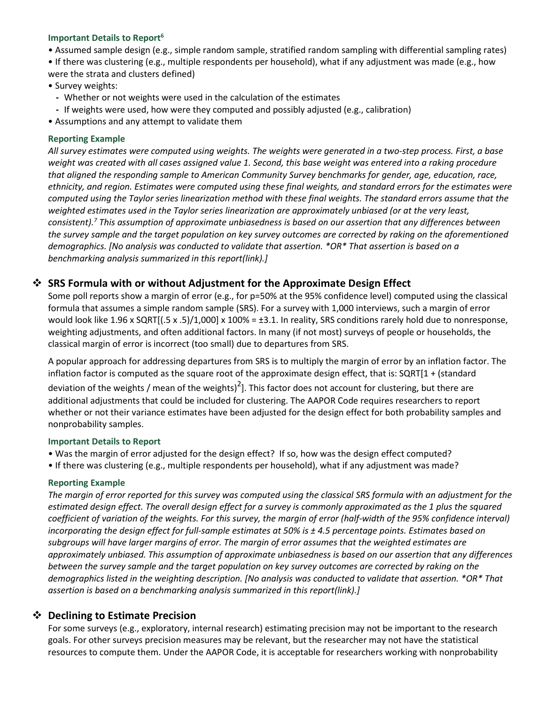#### Important Details to Report<sup>6</sup>

• Assumed sample design (e.g., simple random sample, stratified random sampling with differential sampling rates)

• If there was clustering (e.g., multiple respondents per household), what if any adjustment was made (e.g., how were the strata and clusters defined)

• Survey weights:

- Whether or not weights were used in the calculation of the estimates
- If weights were used, how were they computed and possibly adjusted (e.g., calibration)
- Assumptions and any attempt to validate them

#### **Reporting Example**

*All survey estimates were computed using weights. The weights were generated in a two-step process. First, a base weight was created with all cases assigned value 1. Second, this base weight was entered into a raking procedure that aligned the responding sample to American Community Survey benchmarks for gender, age, education, race, ethnicity, and region. Estimates were computed using these final weights, and standard errors for the estimates were computed using the Taylor series linearization method with these final weights. The standard errors assume that the weighted estimates used in the Taylor series linearization are approximately unbiased (or at the very least, consistent). <sup>7</sup> This assumption of approximate unbiasedness is based on our assertion that any differences between the survey sample and the target population on key survey outcomes are corrected by raking on the aforementioned demographics. [No analysis was conducted to validate that assertion. \*OR\* That assertion is based on a benchmarking analysis summarized in this report(link).]* 

### **SRS Formula with or without Adjustment for the Approximate Design Effect**

Some poll reports show a margin of error (e.g., for p=50% at the 95% confidence level) computed using the classical formula that assumes a simple random sample (SRS). For a survey with 1,000 interviews, such a margin of error would look like 1.96 x SQRT $[(.5 \times .5)/1,000] \times 100\% = \pm 3.1$ . In reality, SRS conditions rarely hold due to nonresponse, weighting adjustments, and often additional factors. In many (if not most) surveys of people or households, the classical margin of error is incorrect (too small) due to departures from SRS.

A popular approach for addressing departures from SRS is to multiply the margin of error by an inflation factor. The inflation factor is computed as the square root of the approximate design effect, that is: SQRT[1 + (standard deviation of the weights / mean of the weights)<sup>2</sup>]. This factor does not account for clustering, but there are additional adjustments that could be included for clustering. The AAPOR Code requires researchers to report whether or not their variance estimates have been adjusted for the design effect for both probability samples and nonprobability samples.

#### **Important Details to Report**

- Was the margin of error adjusted for the design effect? If so, how was the design effect computed?
- If there was clustering (e.g., multiple respondents per household), what if any adjustment was made?

#### **Reporting Example**

*The margin of error reported for this survey was computed using the classical SRS formula with an adjustment for the estimated design effect. The overall design effect for a survey is commonly approximated as the 1 plus the squared coefficient of variation of the weights. For this survey, the margin of error (half-width of the 95% confidence interval) incorporating the design effect for full-sample estimates at 50% is ± 4.5 percentage points. Estimates based on subgroups will have larger margins of error. The margin of error assumes that the weighted estimates are approximately unbiased. This assumption of approximate unbiasedness is based on our assertion that any differences between the survey sample and the target population on key survey outcomes are corrected by raking on the demographics listed in the weighting description. [No analysis was conducted to validate that assertion. \*OR\* That assertion is based on a benchmarking analysis summarized in this report(link).]* 

### **Declining to Estimate Precision**

For some surveys (e.g., exploratory, internal research) estimating precision may not be important to the research goals. For other surveys precision measures may be relevant, but the researcher may not have the statistical resources to compute them. Under the AAPOR Code, it is acceptable for researchers working with nonprobability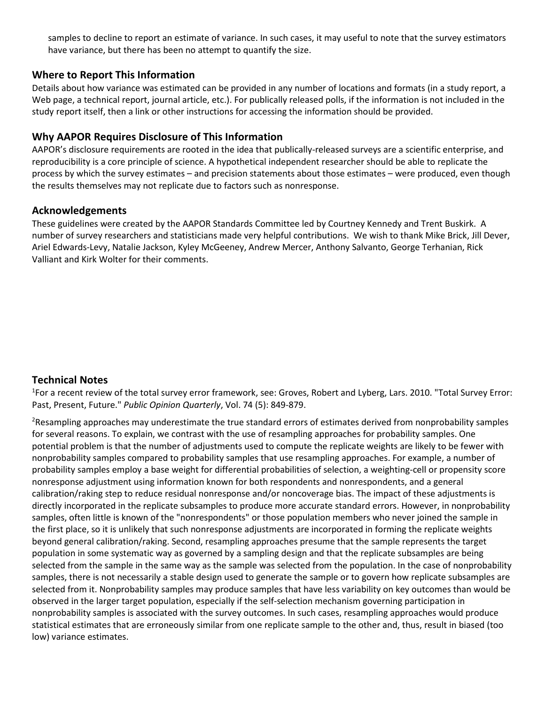samples to decline to report an estimate of variance. In such cases, it may useful to note that the survey estimators have variance, but there has been no attempt to quantify the size.

## **Where to Report This Information**

Details about how variance was estimated can be provided in any number of locations and formats (in a study report, a Web page, a technical report, journal article, etc.). For publically released polls, if the information is not included in the study report itself, then a link or other instructions for accessing the information should be provided.

## **Why AAPOR Requires Disclosure of This Information**

AAPOR's disclosure requirements are rooted in the idea that publically-released surveys are a scientific enterprise, and reproducibility is a core principle of science. A hypothetical independent researcher should be able to replicate the process by which the survey estimates – and precision statements about those estimates – were produced, even though the results themselves may not replicate due to factors such as nonresponse.

## **Acknowledgements**

These guidelines were created by the AAPOR Standards Committee led by Courtney Kennedy and Trent Buskirk. A number of survey researchers and statisticians made very helpful contributions. We wish to thank Mike Brick, Jill Dever, Ariel Edwards-Levy, Natalie Jackson, Kyley McGeeney, Andrew Mercer, Anthony Salvanto, George Terhanian, Rick Valliant and Kirk Wolter for their comments.

## **Technical Notes**

<sup>1</sup>For a recent review of the total survey error framework, see: Groves, Robert and Lyberg, Lars. 2010. "Total Survey Error: Past, Present, Future." *Public Opinion Quarterly*, Vol. 74 (5): 849-879.

<sup>2</sup>Resampling approaches may underestimate the true standard errors of estimates derived from nonprobability samples for several reasons. To explain, we contrast with the use of resampling approaches for probability samples. One potential problem is that the number of adjustments used to compute the replicate weights are likely to be fewer with nonprobability samples compared to probability samples that use resampling approaches. For example, a number of probability samples employ a base weight for differential probabilities of selection, a weighting-cell or propensity score nonresponse adjustment using information known for both respondents and nonrespondents, and a general calibration/raking step to reduce residual nonresponse and/or noncoverage bias. The impact of these adjustments is directly incorporated in the replicate subsamples to produce more accurate standard errors. However, in nonprobability samples, often little is known of the "nonrespondents" or those population members who never joined the sample in the first place, so it is unlikely that such nonresponse adjustments are incorporated in forming the replicate weights beyond general calibration/raking. Second, resampling approaches presume that the sample represents the target population in some systematic way as governed by a sampling design and that the replicate subsamples are being selected from the sample in the same way as the sample was selected from the population. In the case of nonprobability samples, there is not necessarily a stable design used to generate the sample or to govern how replicate subsamples are selected from it. Nonprobability samples may produce samples that have less variability on key outcomes than would be observed in the larger target population, especially if the self-selection mechanism governing participation in nonprobability samples is associated with the survey outcomes. In such cases, resampling approaches would produce statistical estimates that are erroneously similar from one replicate sample to the other and, thus, result in biased (too low) variance estimates.